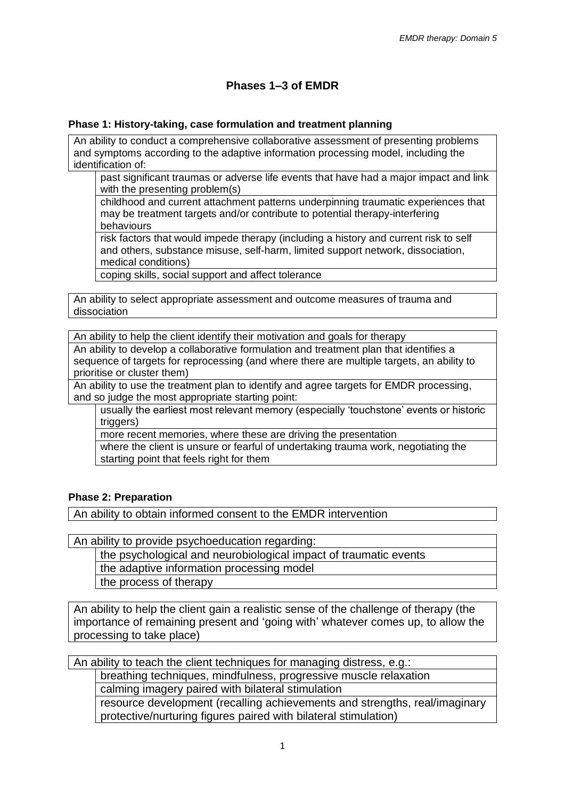# **Phases 1–3 of EMDR**

### **Phase 1: History-taking, case formulation and treatment planning**

An ability to conduct a comprehensive collaborative assessment of presenting problems and symptoms according to the adaptive information processing model, including the identification of:

past significant traumas or adverse life events that have had a major impact and link with the presenting problem(s)

childhood and current attachment patterns underpinning traumatic experiences that may be treatment targets and/or contribute to potential therapy-interfering behaviours

risk factors that would impede therapy (including a history and current risk to self and others, substance misuse, self-harm, limited support network, dissociation, medical conditions)

coping skills, social support and affect tolerance

An ability to select appropriate assessment and outcome measures of trauma and dissociation

An ability to help the client identify their motivation and goals for therapy

An ability to develop a collaborative formulation and treatment plan that identifies a sequence of targets for reprocessing (and where there are multiple targets, an ability to prioritise or cluster them)

An ability to use the treatment plan to identify and agree targets for EMDR processing, and so judge the most appropriate starting point:

usually the earliest most relevant memory (especially 'touchstone' events or historic triggers)

more recent memories, where these are driving the presentation

where the client is unsure or fearful of undertaking trauma work, negotiating the starting point that feels right for them

### **Phase 2: Preparation**

An ability to obtain informed consent to the EMDR intervention

An ability to provide psychoeducation regarding:

the psychological and neurobiological impact of traumatic events

the adaptive information processing model

the process of therapy

An ability to help the client gain a realistic sense of the challenge of therapy (the importance of remaining present and 'going with' whatever comes up, to allow the processing to take place)

An ability to teach the client techniques for managing distress, e.g.:

breathing techniques, mindfulness, progressive muscle relaxation calming imagery paired with bilateral stimulation

resource development (recalling achievements and strengths, real/imaginary protective/nurturing figures paired with bilateral stimulation)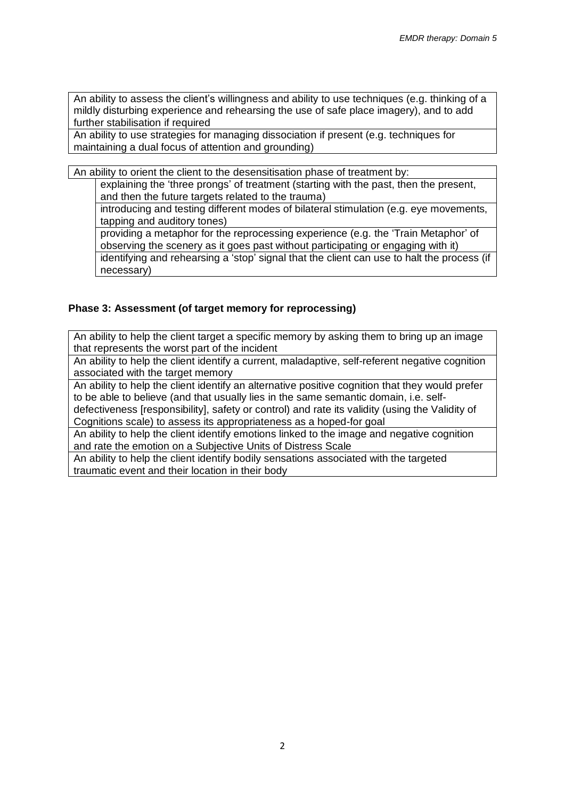An ability to assess the client's willingness and ability to use techniques (e.g. thinking of a mildly disturbing experience and rehearsing the use of safe place imagery), and to add further stabilisation if required

An ability to use strategies for managing dissociation if present (e.g. techniques for maintaining a dual focus of attention and grounding)

An ability to orient the client to the desensitisation phase of treatment by:

explaining the 'three prongs' of treatment (starting with the past, then the present, and then the future targets related to the trauma)

introducing and testing different modes of bilateral stimulation (e.g. eye movements, tapping and auditory tones)

providing a metaphor for the reprocessing experience (e.g. the 'Train Metaphor' of observing the scenery as it goes past without participating or engaging with it) identifying and rehearsing a 'stop' signal that the client can use to halt the process (if necessary)

## **Phase 3: Assessment (of target memory for reprocessing)**

An ability to help the client target a specific memory by asking them to bring up an image that represents the worst part of the incident

An ability to help the client identify a current, maladaptive, self-referent negative cognition associated with the target memory

An ability to help the client identify an alternative positive cognition that they would prefer to be able to believe (and that usually lies in the same semantic domain, i.e. selfdefectiveness [responsibility], safety or control) and rate its validity (using the Validity of

Cognitions scale) to assess its appropriateness as a hoped-for goal

An ability to help the client identify emotions linked to the image and negative cognition and rate the emotion on a Subjective Units of Distress Scale

An ability to help the client identify bodily sensations associated with the targeted traumatic event and their location in their body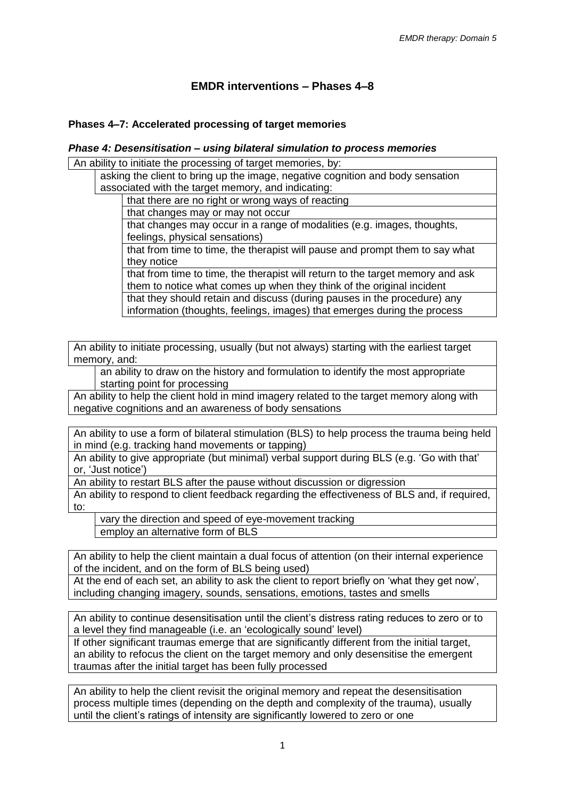# **EMDR interventions – Phases 4–8**

### **Phases 4–7: Accelerated processing of target memories**

#### *Phase 4: Desensitisation – using bilateral simulation to process memories*

An ability to initiate the processing of target memories, by:

asking the client to bring up the image, negative cognition and body sensation associated with the target memory, and indicating:

that there are no right or wrong ways of reacting

that changes may or may not occur

that changes may occur in a range of modalities (e.g. images, thoughts, feelings, physical sensations)

that from time to time, the therapist will pause and prompt them to say what they notice

that from time to time, the therapist will return to the target memory and ask them to notice what comes up when they think of the original incident that they should retain and discuss (during pauses in the procedure) any information (thoughts, feelings, images) that emerges during the process

An ability to initiate processing, usually (but not always) starting with the earliest target memory, and:

an ability to draw on the history and formulation to identify the most appropriate starting point for processing

An ability to help the client hold in mind imagery related to the target memory along with negative cognitions and an awareness of body sensations

An ability to use a form of bilateral stimulation (BLS) to help process the trauma being held in mind (e.g. tracking hand movements or tapping)

An ability to give appropriate (but minimal) verbal support during BLS (e.g. 'Go with that' or, 'Just notice')

An ability to restart BLS after the pause without discussion or digression

An ability to respond to client feedback regarding the effectiveness of BLS and, if required, to:

vary the direction and speed of eye-movement tracking employ an alternative form of BLS

An ability to help the client maintain a dual focus of attention (on their internal experience of the incident, and on the form of BLS being used)

At the end of each set, an ability to ask the client to report briefly on 'what they get now', including changing imagery, sounds, sensations, emotions, tastes and smells

An ability to continue desensitisation until the client's distress rating reduces to zero or to a level they find manageable (i.e. an 'ecologically sound' level)

If other significant traumas emerge that are significantly different from the initial target, an ability to refocus the client on the target memory and only desensitise the emergent traumas after the initial target has been fully processed

An ability to help the client revisit the original memory and repeat the desensitisation process multiple times (depending on the depth and complexity of the trauma), usually until the client's ratings of intensity are significantly lowered to zero or one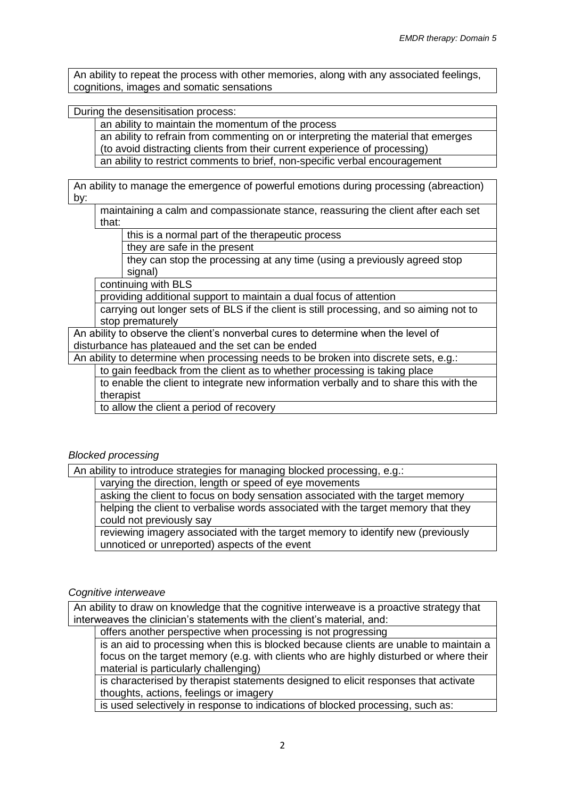An ability to repeat the process with other memories, along with any associated feelings, cognitions, images and somatic sensations

During the desensitisation process:

an ability to maintain the momentum of the process

an ability to refrain from commenting on or interpreting the material that emerges (to avoid distracting clients from their current experience of processing)

an ability to restrict comments to brief, non-specific verbal encouragement

An ability to manage the emergence of powerful emotions during processing (abreaction) by:

maintaining a calm and compassionate stance, reassuring the client after each set that:

this is a normal part of the therapeutic process

they are safe in the present

they can stop the processing at any time (using a previously agreed stop signal)

continuing with BLS

providing additional support to maintain a dual focus of attention

carrying out longer sets of BLS if the client is still processing, and so aiming not to stop prematurely

An ability to observe the client's nonverbal cures to determine when the level of disturbance has plateaued and the set can be ended

An ability to determine when processing needs to be broken into discrete sets, e.g.:

to gain feedback from the client as to whether processing is taking place

to enable the client to integrate new information verbally and to share this with the therapist

to allow the client a period of recovery

#### *Blocked processing*

An ability to introduce strategies for managing blocked processing, e.g.:

varying the direction, length or speed of eye movements

asking the client to focus on body sensation associated with the target memory

helping the client to verbalise words associated with the target memory that they could not previously say

reviewing imagery associated with the target memory to identify new (previously unnoticed or unreported) aspects of the event

#### *Cognitive interweave*

An ability to draw on knowledge that the cognitive interweave is a proactive strategy that interweaves the clinician's statements with the client's material, and:

offers another perspective when processing is not progressing

is an aid to processing when this is blocked because clients are unable to maintain a focus on the target memory (e.g. with clients who are highly disturbed or where their material is particularly challenging)

is characterised by therapist statements designed to elicit responses that activate thoughts, actions, feelings or imagery

is used selectively in response to indications of blocked processing, such as: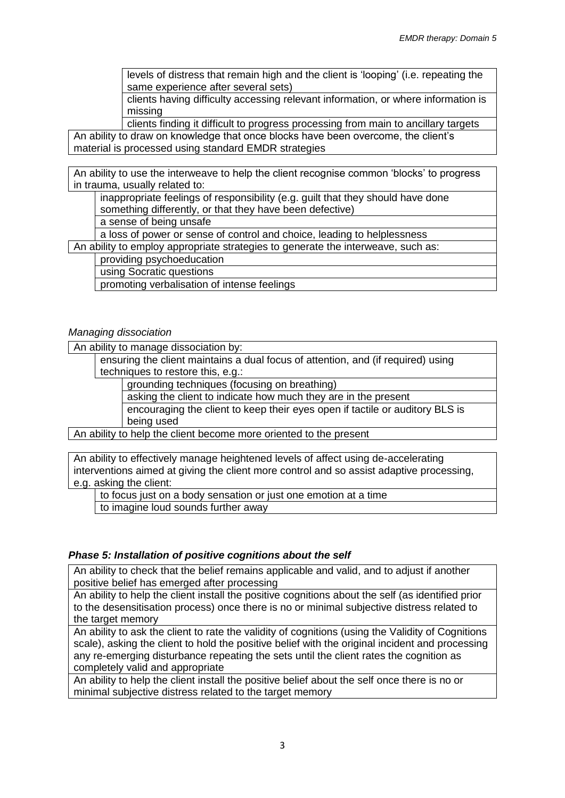levels of distress that remain high and the client is 'looping' (i.e. repeating the same experience after several sets)

clients having difficulty accessing relevant information, or where information is missing

clients finding it difficult to progress processing from main to ancillary targets An ability to draw on knowledge that once blocks have been overcome, the client's material is processed using standard EMDR strategies

An ability to use the interweave to help the client recognise common 'blocks' to progress in trauma, usually related to:

inappropriate feelings of responsibility (e.g. guilt that they should have done something differently, or that they have been defective)

a sense of being unsafe

a loss of power or sense of control and choice, leading to helplessness

An ability to employ appropriate strategies to generate the interweave, such as: providing psychoeducation

using Socratic questions

promoting verbalisation of intense feelings

*Managing dissociation*

An ability to manage dissociation by:

ensuring the client maintains a dual focus of attention, and (if required) using techniques to restore this, e.g.:

grounding techniques (focusing on breathing)

asking the client to indicate how much they are in the present

encouraging the client to keep their eyes open if tactile or auditory BLS is being used

An ability to help the client become more oriented to the present

An ability to effectively manage heightened levels of affect using de-accelerating interventions aimed at giving the client more control and so assist adaptive processing, e.g. asking the client:

to focus just on a body sensation or just one emotion at a time

to imagine loud sounds further away

### *Phase 5: Installation of positive cognitions about the self*

An ability to check that the belief remains applicable and valid, and to adjust if another positive belief has emerged after processing

An ability to help the client install the positive cognitions about the self (as identified prior to the desensitisation process) once there is no or minimal subjective distress related to the target memory

An ability to ask the client to rate the validity of cognitions (using the Validity of Cognitions scale), asking the client to hold the positive belief with the original incident and processing any re-emerging disturbance repeating the sets until the client rates the cognition as completely valid and appropriate

An ability to help the client install the positive belief about the self once there is no or minimal subjective distress related to the target memory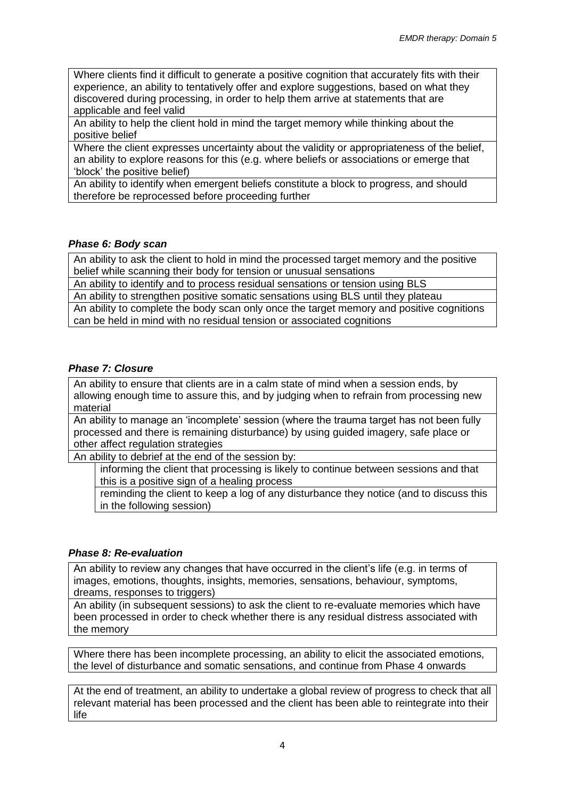Where clients find it difficult to generate a positive cognition that accurately fits with their experience, an ability to tentatively offer and explore suggestions, based on what they discovered during processing, in order to help them arrive at statements that are applicable and feel valid

An ability to help the client hold in mind the target memory while thinking about the positive belief

Where the client expresses uncertainty about the validity or appropriateness of the belief, an ability to explore reasons for this (e.g. where beliefs or associations or emerge that 'block' the positive belief)

An ability to identify when emergent beliefs constitute a block to progress, and should therefore be reprocessed before proceeding further

### *Phase 6: Body scan*

An ability to ask the client to hold in mind the processed target memory and the positive belief while scanning their body for tension or unusual sensations

An ability to identify and to process residual sensations or tension using BLS

An ability to strengthen positive somatic sensations using BLS until they plateau An ability to complete the body scan only once the target memory and positive cognitions can be held in mind with no residual tension or associated cognitions

## *Phase 7: Closure*

An ability to ensure that clients are in a calm state of mind when a session ends, by allowing enough time to assure this, and by judging when to refrain from processing new material

An ability to manage an 'incomplete' session (where the trauma target has not been fully processed and there is remaining disturbance) by using guided imagery, safe place or other affect regulation strategies

An ability to debrief at the end of the session by:

informing the client that processing is likely to continue between sessions and that this is a positive sign of a healing process

reminding the client to keep a log of any disturbance they notice (and to discuss this in the following session)

### *Phase 8: Re-evaluation*

An ability to review any changes that have occurred in the client's life (e.g. in terms of images, emotions, thoughts, insights, memories, sensations, behaviour, symptoms, dreams, responses to triggers)

An ability (in subsequent sessions) to ask the client to re-evaluate memories which have been processed in order to check whether there is any residual distress associated with the memory

Where there has been incomplete processing, an ability to elicit the associated emotions, the level of disturbance and somatic sensations, and continue from Phase 4 onwards

At the end of treatment, an ability to undertake a global review of progress to check that all relevant material has been processed and the client has been able to reintegrate into their life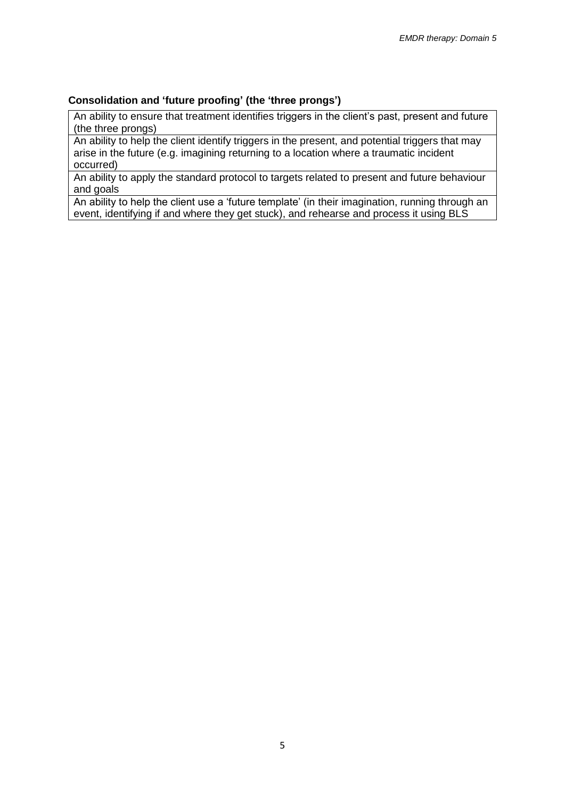### **Consolidation and 'future proofing' (the 'three prongs')**

An ability to ensure that treatment identifies triggers in the client's past, present and future (the three prongs)

An ability to help the client identify triggers in the present, and potential triggers that may arise in the future (e.g. imagining returning to a location where a traumatic incident occurred)

An ability to apply the standard protocol to targets related to present and future behaviour and goals

An ability to help the client use a 'future template' (in their imagination, running through an event, identifying if and where they get stuck), and rehearse and process it using BLS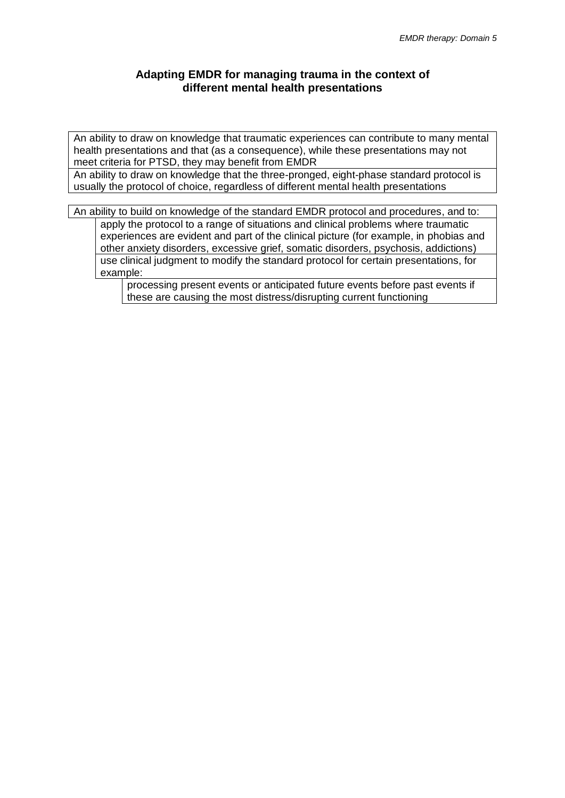## **Adapting EMDR for managing trauma in the context of different mental health presentations**

An ability to draw on knowledge that traumatic experiences can contribute to many mental health presentations and that (as a consequence), while these presentations may not meet criteria for PTSD, they may benefit from EMDR

An ability to draw on knowledge that the three-pronged, eight-phase standard protocol is usually the protocol of choice, regardless of different mental health presentations

An ability to build on knowledge of the standard EMDR protocol and procedures, and to:

apply the protocol to a range of situations and clinical problems where traumatic experiences are evident and part of the clinical picture (for example, in phobias and other anxiety disorders, excessive grief, somatic disorders, psychosis, addictions) use clinical judgment to modify the standard protocol for certain presentations, for example:

processing present events or anticipated future events before past events if these are causing the most distress/disrupting current functioning